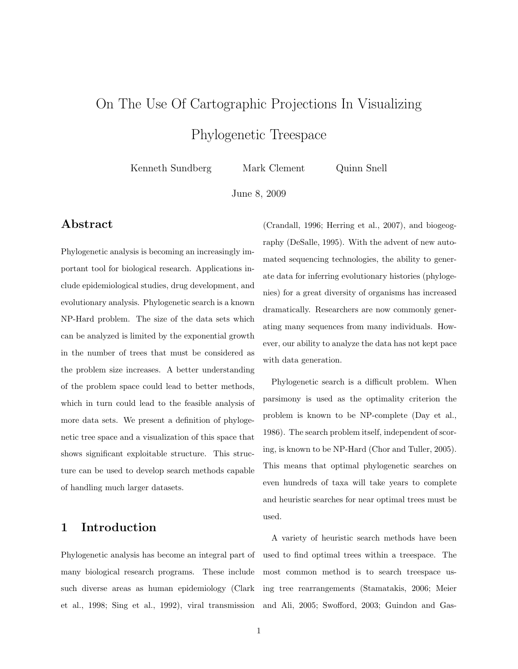## On The Use Of Cartographic Projections In Visualizing

Phylogenetic Treespace

Kenneth Sundberg Mark Clement Quinn Snell

June 8, 2009

### Abstract

Phylogenetic analysis is becoming an increasingly important tool for biological research. Applications include epidemiological studies, drug development, and evolutionary analysis. Phylogenetic search is a known NP-Hard problem. The size of the data sets which can be analyzed is limited by the exponential growth in the number of trees that must be considered as the problem size increases. A better understanding of the problem space could lead to better methods, which in turn could lead to the feasible analysis of more data sets. We present a definition of phylogenetic tree space and a visualization of this space that shows significant exploitable structure. This structure can be used to develop search methods capable of handling much larger datasets.

### 1 Introduction

many biological research programs. These include et al., 1998; Sing et al., 1992), viral transmission and Ali, 2005; Swofford, 2003; Guindon and Gas-

(Crandall, 1996; Herring et al., 2007), and biogeography (DeSalle, 1995). With the advent of new automated sequencing technologies, the ability to generate data for inferring evolutionary histories (phylogenies) for a great diversity of organisms has increased dramatically. Researchers are now commonly generating many sequences from many individuals. However, our ability to analyze the data has not kept pace with data generation.

Phylogenetic search is a difficult problem. When parsimony is used as the optimality criterion the problem is known to be NP-complete (Day et al., 1986). The search problem itself, independent of scoring, is known to be NP-Hard (Chor and Tuller, 2005). This means that optimal phylogenetic searches on even hundreds of taxa will take years to complete and heuristic searches for near optimal trees must be used.

Phylogenetic analysis has become an integral part of used to find optimal trees within a treespace. The such diverse areas as human epidemiology (Clark ing tree rearrangements (Stamatakis, 2006; Meier A variety of heuristic search methods have been most common method is to search treespace us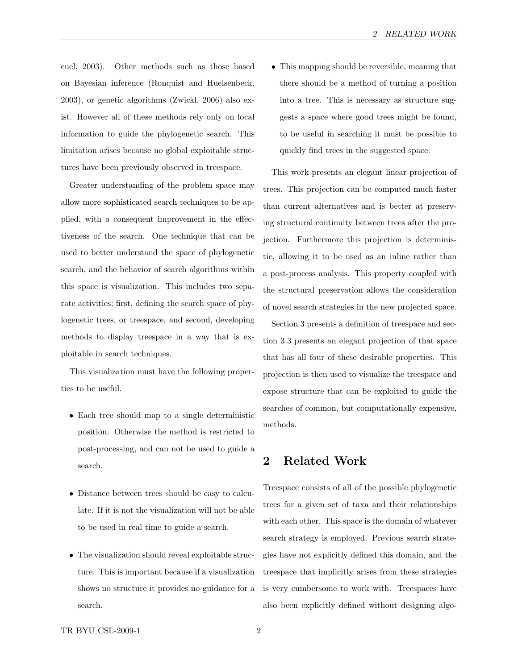cuel, 2003). Other methods such as those based on Bayesian inference (Ronquist and Huelsenbeck, 2003), or genetic algorithms (Zwickl, 2006) also exist. However all of these methods rely only on local information to guide the phylogenetic search. This limitation arises because no global exploitable structures have been previously observed in treespace.

Greater understanding of the problem space may allow more sophisticated search techniques to be applied, with a consequent improvement in the effectiveness of the search. One technique that can be used to better understand the space of phylogenetic search, and the behavior of search algorithms within this space is visualization. This includes two separate activities; first, defining the search space of phylogenetic trees, or treespace, and second, developing methods to display treespace in a way that is exploitable in search techniques.

This visualization must have the following properties to be useful.

- Each tree should map to a single deterministic position. Otherwise the method is restricted to post-processing, and can not be used to guide a search.
- Distance between trees should be easy to calculate. If it is not the visualization will not be able to be used in real time to guide a search.
- The visualization should reveal exploitable structure. This is important because if a visualization shows no structure it provides no guidance for a search.

• This mapping should be reversible, meaning that there should be a method of turning a position into a tree. This is necessary as structure suggests a space where good trees might be found, to be useful in searching it must be possible to quickly find trees in the suggested space.

This work presents an elegant linear projection of trees. This projection can be computed much faster than current alternatives and is better at preserving structural continuity between trees after the projection. Furthermore this projection is deterministic, allowing it to be used as an inline rather than a post-process analysis. This property coupled with the structural preservation allows the consideration of novel search strategies in the new projected space.

Section 3 presents a definition of treespace and section 3.3 presents an elegant projection of that space that has all four of these desirable properties. This projection is then used to visualize the treespace and expose structure that can be exploited to guide the searches of common, but computationally expensive, methods.

## 2 Related Work

Treespace consists of all of the possible phylogenetic trees for a given set of taxa and their relationships with each other. This space is the domain of whatever search strategy is employed. Previous search strategies have not explicitly defined this domain, and the treespace that implicitly arises from these strategies is very cumbersome to work with. Treespaces have also been explicitly defined without designing algo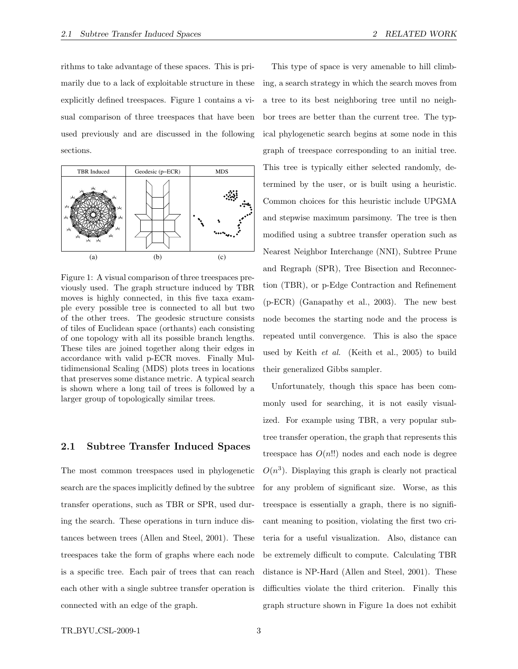rithms to take advantage of these spaces. This is primarily due to a lack of exploitable structure in these explicitly defined treespaces. Figure 1 contains a visual comparison of three treespaces that have been used previously and are discussed in the following sections.



Figure 1: A visual comparison of three treespaces previously used. The graph structure induced by TBR moves is highly connected, in this five taxa example every possible tree is connected to all but two of the other trees. The geodesic structure consists of tiles of Euclidean space (orthants) each consisting of one topology with all its possible branch lengths. These tiles are joined together along their edges in accordance with valid p-ECR moves. Finally Multidimensional Scaling (MDS) plots trees in locations that preserves some distance metric. A typical search is shown where a long tail of trees is followed by a larger group of topologically similar trees.

#### 2.1 Subtree Transfer Induced Spaces

The most common treespaces used in phylogenetic search are the spaces implicitly defined by the subtree transfer operations, such as TBR or SPR, used during the search. These operations in turn induce distances between trees (Allen and Steel, 2001). These treespaces take the form of graphs where each node is a specific tree. Each pair of trees that can reach each other with a single subtree transfer operation is connected with an edge of the graph.

This type of space is very amenable to hill climbing, a search strategy in which the search moves from a tree to its best neighboring tree until no neighbor trees are better than the current tree. The typical phylogenetic search begins at some node in this graph of treespace corresponding to an initial tree. This tree is typically either selected randomly, determined by the user, or is built using a heuristic. Common choices for this heuristic include UPGMA and stepwise maximum parsimony. The tree is then modified using a subtree transfer operation such as Nearest Neighbor Interchange (NNI), Subtree Prune and Regraph (SPR), Tree Bisection and Reconnection (TBR), or p-Edge Contraction and Refinement (p-ECR) (Ganapathy et al., 2003). The new best node becomes the starting node and the process is repeated until convergence. This is also the space used by Keith et al. (Keith et al., 2005) to build their generalized Gibbs sampler.

Unfortunately, though this space has been commonly used for searching, it is not easily visualized. For example using TBR, a very popular subtree transfer operation, the graph that represents this treespace has  $O(n!!)$  nodes and each node is degree  $O(n^3)$ . Displaying this graph is clearly not practical for any problem of significant size. Worse, as this treespace is essentially a graph, there is no significant meaning to position, violating the first two criteria for a useful visualization. Also, distance can be extremely difficult to compute. Calculating TBR distance is NP-Hard (Allen and Steel, 2001). These difficulties violate the third criterion. Finally this graph structure shown in Figure 1a does not exhibit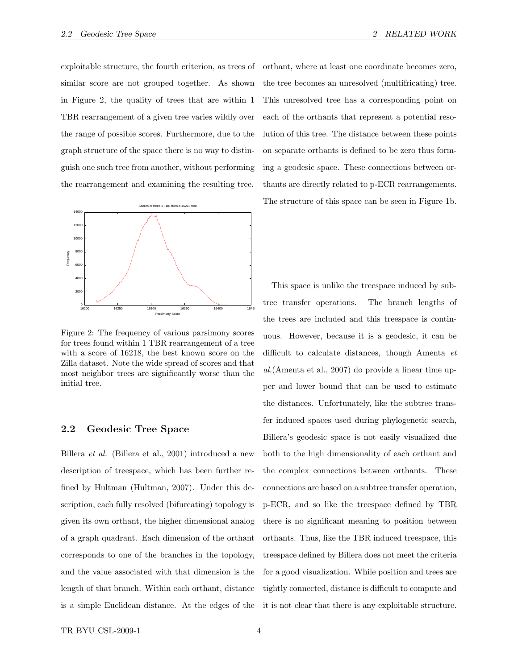exploitable structure, the fourth criterion, as trees of orthant, where at least one coordinate becomes zero, similar score are not grouped together. As shown in Figure 2, the quality of trees that are within 1 TBR rearrangement of a given tree varies wildly over the range of possible scores. Furthermore, due to the graph structure of the space there is no way to distinguish one such tree from another, without performing the rearrangement and examining the resulting tree.



Figure 2: The frequency of various parsimony scores for trees found within 1 TBR rearrangement of a tree with a score of 16218, the best known score on the Zilla dataset. Note the wide spread of scores and that most neighbor trees are significantly worse than the initial tree.

#### 2.2 Geodesic Tree Space

Billera et al. (Billera et al., 2001) introduced a new description of treespace, which has been further refined by Hultman (Hultman, 2007). Under this description, each fully resolved (bifurcating) topology is given its own orthant, the higher dimensional analog of a graph quadrant. Each dimension of the orthant corresponds to one of the branches in the topology, and the value associated with that dimension is the length of that branch. Within each orthant, distance is a simple Euclidean distance. At the edges of the it is not clear that there is any exploitable structure.

the tree becomes an unresolved (multifricating) tree. This unresolved tree has a corresponding point on each of the orthants that represent a potential resolution of this tree. The distance between these points on separate orthants is defined to be zero thus forming a geodesic space. These connections between orthants are directly related to p-ECR rearrangements. The structure of this space can be seen in Figure 1b.

This space is unlike the treespace induced by subtree transfer operations. The branch lengths of the trees are included and this treespace is continuous. However, because it is a geodesic, it can be difficult to calculate distances, though Amenta et al.(Amenta et al., 2007) do provide a linear time upper and lower bound that can be used to estimate the distances. Unfortunately, like the subtree transfer induced spaces used during phylogenetic search, Billera's geodesic space is not easily visualized due both to the high dimensionality of each orthant and the complex connections between orthants. These connections are based on a subtree transfer operation, p-ECR, and so like the treespace defined by TBR there is no significant meaning to position between orthants. Thus, like the TBR induced treespace, this treespace defined by Billera does not meet the criteria for a good visualization. While position and trees are tightly connected, distance is difficult to compute and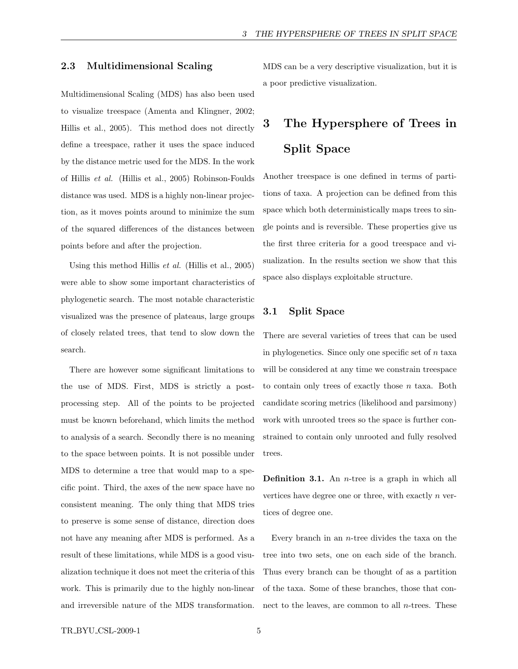#### 2.3 Multidimensional Scaling

Multidimensional Scaling (MDS) has also been used to visualize treespace (Amenta and Klingner, 2002; Hillis et al., 2005). This method does not directly define a treespace, rather it uses the space induced by the distance metric used for the MDS. In the work of Hillis et al. (Hillis et al., 2005) Robinson-Foulds distance was used. MDS is a highly non-linear projection, as it moves points around to minimize the sum of the squared differences of the distances between points before and after the projection.

Using this method Hillis et al. (Hillis et al., 2005) were able to show some important characteristics of phylogenetic search. The most notable characteristic visualized was the presence of plateaus, large groups of closely related trees, that tend to slow down the search.

There are however some significant limitations to the use of MDS. First, MDS is strictly a postprocessing step. All of the points to be projected must be known beforehand, which limits the method to analysis of a search. Secondly there is no meaning to the space between points. It is not possible under MDS to determine a tree that would map to a specific point. Third, the axes of the new space have no consistent meaning. The only thing that MDS tries to preserve is some sense of distance, direction does not have any meaning after MDS is performed. As a result of these limitations, while MDS is a good visualization technique it does not meet the criteria of this work. This is primarily due to the highly non-linear MDS can be a very descriptive visualization, but it is a poor predictive visualization.

# 3 The Hypersphere of Trees in Split Space

Another treespace is one defined in terms of partitions of taxa. A projection can be defined from this space which both deterministically maps trees to single points and is reversible. These properties give us the first three criteria for a good treespace and visualization. In the results section we show that this space also displays exploitable structure.

#### 3.1 Split Space

There are several varieties of trees that can be used in phylogenetics. Since only one specific set of  $n$  taxa will be considered at any time we constrain treespace to contain only trees of exactly those  $n$  taxa. Both candidate scoring metrics (likelihood and parsimony) work with unrooted trees so the space is further constrained to contain only unrooted and fully resolved trees.

**Definition 3.1.** An *n*-tree is a graph in which all vertices have degree one or three, with exactly  $n$  vertices of degree one.

and irreversible nature of the MDS transformation. nect to the leaves, are common to all n-trees. These Every branch in an  $n$ -tree divides the taxa on the tree into two sets, one on each side of the branch. Thus every branch can be thought of as a partition of the taxa. Some of these branches, those that con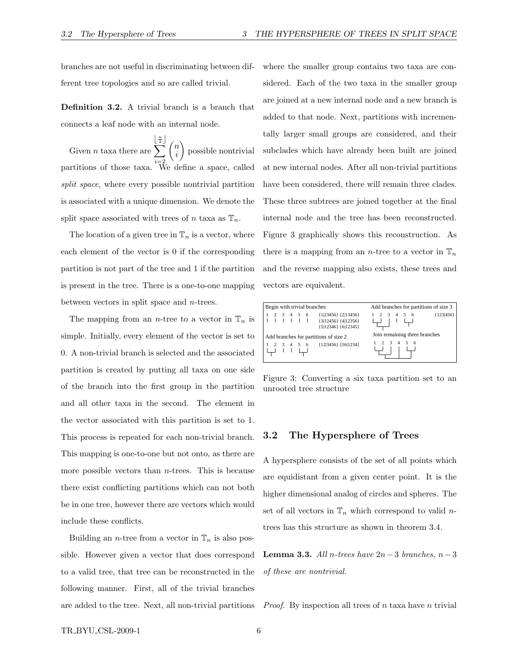branches are not useful in discriminating between different tree topologies and so are called trivial.

Definition 3.2. A trivial branch is a branch that connects a leaf node with an internal node.

Given  $n$  taxa there are  $\frac{\left\lfloor \frac{n}{2} \right\rfloor}{\sum}$  $i=2$  $\sqrt{n}$ i possible nontrivial partitions of those taxa. We define a space, called split space, where every possible nontrivial partition is associated with a unique dimension. We denote the split space associated with trees of n taxa as  $\mathbb{T}_n$ .

The location of a given tree in  $\mathbb{T}_n$  is a vector, where each element of the vector is 0 if the corresponding partition is not part of the tree and 1 if the partition is present in the tree. There is a one-to-one mapping between vectors in split space and n-trees.

The mapping from an *n*-tree to a vector in  $\mathbb{T}_n$  is simple. Initially, every element of the vector is set to 0. A non-trivial branch is selected and the associated partition is created by putting all taxa on one side of the branch into the first group in the partition and all other taxa in the second. The element in the vector associated with this partition is set to 1. This process is repeated for each non-trivial branch. This mapping is one-to-one but not onto, as there are more possible vectors than  $n$ -trees. This is because there exist conflicting partitions which can not both be in one tree, however there are vectors which would include these conflicts.

Building an *n*-tree from a vector in  $\mathbb{T}_n$  is also possible. However given a vector that does correspond to a valid tree, that tree can be reconstructed in the following manner. First, all of the trivial branches where the smaller group contains two taxa are considered. Each of the two taxa in the smaller group are joined at a new internal node and a new branch is added to that node. Next, partitions with incrementally larger small groups are considered, and their subclades which have already been built are joined at new internal nodes. After all non-trivial partitions have been considered, there will remain three clades. These three subtrees are joined together at the final internal node and the tree has been reconstructed. Figure 3 graphically shows this reconstruction. As there is a mapping from an *n*-tree to a vector in  $\mathbb{T}_n$ and the reverse mapping also exists, these trees and vectors are equivalent.



Figure 3: Converting a six taxa partition set to an unrooted tree structure

#### 3.2 The Hypersphere of Trees

A hypersphere consists of the set of all points which are equidistant from a given center point. It is the higher dimensional analog of circles and spheres. The set of all vectors in  $\mathbb{T}_n$  which correspond to valid ntrees has this structure as shown in theorem 3.4.

**Lemma 3.3.** All n-trees have  $2n-3$  branches,  $n-3$ of these are nontrivial.

are added to the tree. Next, all non-trivial partitions *Proof.* By inspection all trees of n taxa have n trivial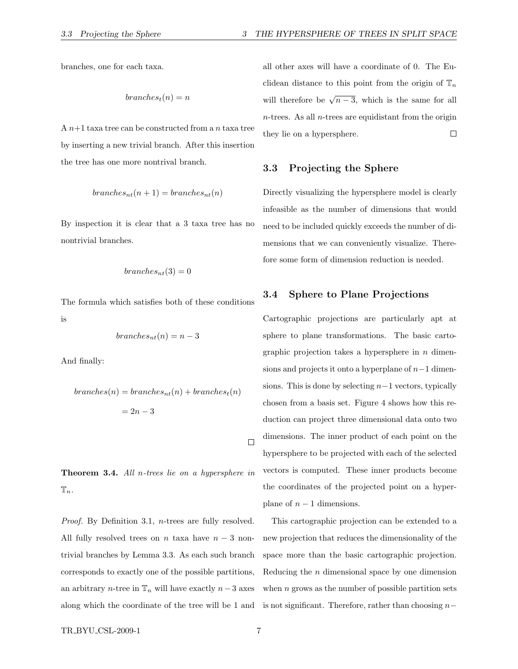branches, one for each taxa.

$$
branches_t(n) = n
$$

 $A$   $n+1$  taxa tree can be constructed from a n taxa tree by inserting a new trivial branch. After this insertion the tree has one more nontrival branch.

$$
branches_{nt}(n+1) = branches_{nt}(n)
$$

By inspection it is clear that a 3 taxa tree has no nontrivial branches.

$$
branches_{nt}(3) = 0
$$

The formula which satisfies both of these conditions is

$$
branches_{nt}(n) = n - 3
$$

And finally:

$$
branches(n) = branches_{nt}(n) + branches_t(n)
$$

$$
= 2n - 3
$$

Theorem 3.4. All n-trees lie on a hypersphere in  $\mathbb{T}_n$ .

Proof. By Definition 3.1, n-trees are fully resolved. All fully resolved trees on n taxa have  $n-3$  nontrivial branches by Lemma 3.3. As each such branch corresponds to exactly one of the possible partitions, an arbitrary *n*-tree in  $\mathbb{T}_n$  will have exactly  $n-3$  axes along which the coordinate of the tree will be 1 and is not significant. Therefore, rather than choosing  $n-$ 

all other axes will have a coordinate of 0. The Euclidean distance to this point from the origin of  $\mathbb{T}_n$ will therefore be  $\sqrt{n-3}$ , which is the same for all  $n$ -trees. As all  $n$ -trees are equidistant from the origin  $\Box$ they lie on a hypersphere.

#### 3.3 Projecting the Sphere

Directly visualizing the hypersphere model is clearly infeasible as the number of dimensions that would need to be included quickly exceeds the number of dimensions that we can conveniently visualize. Therefore some form of dimension reduction is needed.

#### 3.4 Sphere to Plane Projections

Cartographic projections are particularly apt at sphere to plane transformations. The basic cartographic projection takes a hypersphere in  $n$  dimensions and projects it onto a hyperplane of  $n-1$  dimensions. This is done by selecting  $n-1$  vectors, typically chosen from a basis set. Figure 4 shows how this reduction can project three dimensional data onto two dimensions. The inner product of each point on the hypersphere to be projected with each of the selected vectors is computed. These inner products become the coordinates of the projected point on a hyperplane of  $n-1$  dimensions.

This cartographic projection can be extended to a new projection that reduces the dimensionality of the space more than the basic cartographic projection. Reducing the  $n$  dimensional space by one dimension when  $n$  grows as the number of possible partition sets

 $\Box$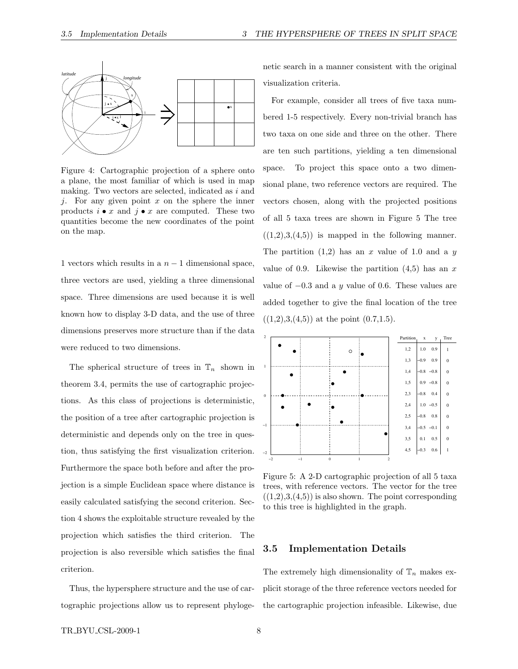

Figure 4: Cartographic projection of a sphere onto a plane, the most familiar of which is used in map making. Two vectors are selected, indicated as  $i$  and  $j$ . For any given point  $x$  on the sphere the inner products  $i \bullet x$  and  $j \bullet x$  are computed. These two quantities become the new coordinates of the point on the map.

1 vectors which results in a  $n-1$  dimensional space, three vectors are used, yielding a three dimensional space. Three dimensions are used because it is well known how to display 3-D data, and the use of three dimensions preserves more structure than if the data were reduced to two dimensions.

The spherical structure of trees in  $\mathbb{T}_n$  shown in theorem 3.4, permits the use of cartographic projections. As this class of projections is deterministic, the position of a tree after cartographic projection is deterministic and depends only on the tree in question, thus satisfying the first visualization criterion. Furthermore the space both before and after the projection is a simple Euclidean space where distance is easily calculated satisfying the second criterion. Section 4 shows the exploitable structure revealed by the projection which satisfies the third criterion. The projection is also reversible which satisfies the final criterion.

Thus, the hypersphere structure and the use of cartographic projections allow us to represent phylogenetic search in a manner consistent with the original visualization criteria.

For example, consider all trees of five taxa numbered 1-5 respectively. Every non-trivial branch has two taxa on one side and three on the other. There are ten such partitions, yielding a ten dimensional space. To project this space onto a two dimensional plane, two reference vectors are required. The vectors chosen, along with the projected positions of all 5 taxa trees are shown in Figure 5 The tree  $((1,2),3,(4,5))$  is mapped in the following manner. The partition  $(1,2)$  has an x value of 1.0 and a y value of 0.9. Likewise the partition  $(4,5)$  has an x value of  $-0.3$  and a y value of 0.6. These values are added together to give the final location of the tree  $((1,2),3,(4,5))$  at the point  $(0.7,1.5)$ .



Figure 5: A 2-D cartographic projection of all 5 taxa trees, with reference vectors. The vector for the tree  $((1,2),3,(4,5))$  is also shown. The point corresponding to this tree is highlighted in the graph.

#### 3.5 Implementation Details

The extremely high dimensionality of  $\mathbb{T}_n$  makes explicit storage of the three reference vectors needed for the cartographic projection infeasible. Likewise, due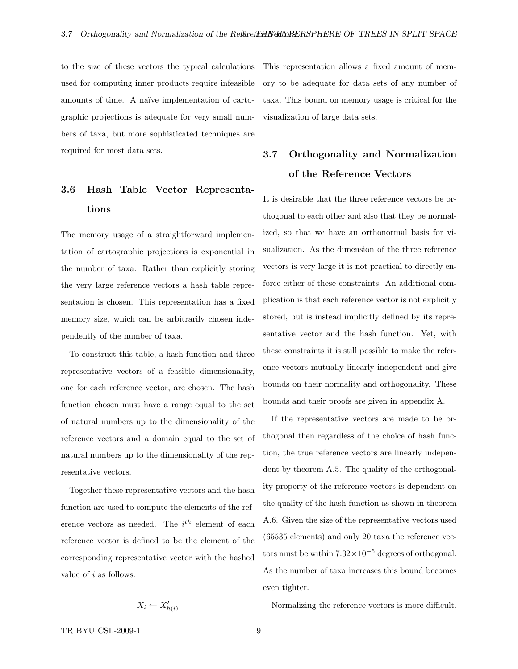to the size of these vectors the typical calculations used for computing inner products require infeasible amounts of time. A naïve implementation of cartographic projections is adequate for very small numbers of taxa, but more sophisticated techniques are required for most data sets.

## 3.6 Hash Table Vector Representations

The memory usage of a straightforward implementation of cartographic projections is exponential in the number of taxa. Rather than explicitly storing the very large reference vectors a hash table representation is chosen. This representation has a fixed memory size, which can be arbitrarily chosen independently of the number of taxa.

To construct this table, a hash function and three representative vectors of a feasible dimensionality, one for each reference vector, are chosen. The hash function chosen must have a range equal to the set of natural numbers up to the dimensionality of the reference vectors and a domain equal to the set of natural numbers up to the dimensionality of the representative vectors.

Together these representative vectors and the hash function are used to compute the elements of the reference vectors as needed. The  $i^{th}$  element of each reference vector is defined to be the element of the corresponding representative vector with the hashed value of i as follows:

 $X_i \leftarrow X'_{h(i)}$ 

This representation allows a fixed amount of memory to be adequate for data sets of any number of taxa. This bound on memory usage is critical for the visualization of large data sets.

## 3.7 Orthogonality and Normalization of the Reference Vectors

It is desirable that the three reference vectors be orthogonal to each other and also that they be normalized, so that we have an orthonormal basis for visualization. As the dimension of the three reference vectors is very large it is not practical to directly enforce either of these constraints. An additional complication is that each reference vector is not explicitly stored, but is instead implicitly defined by its representative vector and the hash function. Yet, with these constraints it is still possible to make the reference vectors mutually linearly independent and give bounds on their normality and orthogonality. These bounds and their proofs are given in appendix A.

If the representative vectors are made to be orthogonal then regardless of the choice of hash function, the true reference vectors are linearly independent by theorem A.5. The quality of the orthogonality property of the reference vectors is dependent on the quality of the hash function as shown in theorem A.6. Given the size of the representative vectors used (65535 elements) and only 20 taxa the reference vectors must be within  $7.32 \times 10^{-5}$  degrees of orthogonal. As the number of taxa increases this bound becomes even tighter.

Normalizing the reference vectors is more difficult.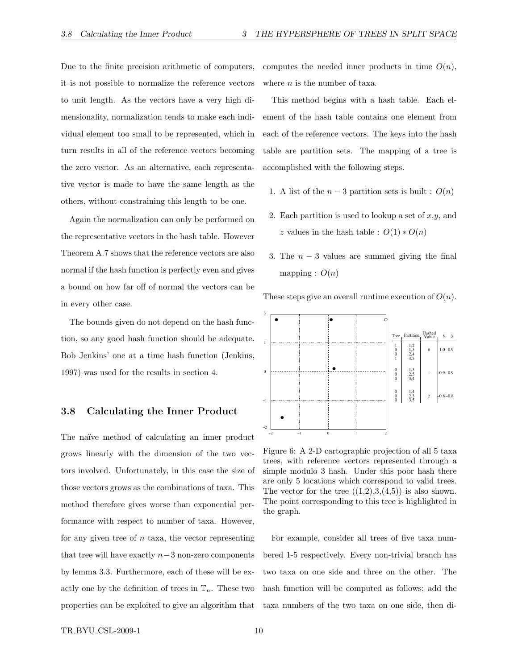Due to the finite precision arithmetic of computers, it is not possible to normalize the reference vectors to unit length. As the vectors have a very high dimensionality, normalization tends to make each individual element too small to be represented, which in turn results in all of the reference vectors becoming the zero vector. As an alternative, each representative vector is made to have the same length as the others, without constraining this length to be one.

Again the normalization can only be performed on the representative vectors in the hash table. However Theorem A.7 shows that the reference vectors are also normal if the hash function is perfectly even and gives a bound on how far off of normal the vectors can be in every other case.

The bounds given do not depend on the hash function, so any good hash function should be adequate. Bob Jenkins' one at a time hash function (Jenkins, 1997) was used for the results in section 4.

#### 3.8 Calculating the Inner Product

The naïve method of calculating an inner product grows linearly with the dimension of the two vectors involved. Unfortunately, in this case the size of those vectors grows as the combinations of taxa. This method therefore gives worse than exponential performance with respect to number of taxa. However, for any given tree of  $n$  taxa, the vector representing that tree will have exactly  $n-3$  non-zero components by lemma 3.3. Furthermore, each of these will be exactly one by the definition of trees in  $\mathbb{T}_n$ . These two properties can be exploited to give an algorithm that taxa numbers of the two taxa on one side, then di-

computes the needed inner products in time  $O(n)$ , where  $n$  is the number of taxa.

This method begins with a hash table. Each element of the hash table contains one element from each of the reference vectors. The keys into the hash table are partition sets. The mapping of a tree is accomplished with the following steps.

- 1. A list of the  $n-3$  partition sets is built :  $O(n)$
- 2. Each partition is used to lookup a set of  $x,y$ , and z values in the hash table :  $O(1) * O(n)$
- 3. The  $n-3$  values are summed giving the final mapping :  $O(n)$

These steps give an overall runtime execution of  $O(n)$ .



Figure 6: A 2-D cartographic projection of all 5 taxa trees, with reference vectors represented through a simple modulo 3 hash. Under this poor hash there are only 5 locations which correspond to valid trees. The vector for the tree  $((1,2),3,(4,5))$  is also shown. The point corresponding to this tree is highlighted in the graph.

For example, consider all trees of five taxa numbered 1-5 respectively. Every non-trivial branch has two taxa on one side and three on the other. The hash function will be computed as follows; add the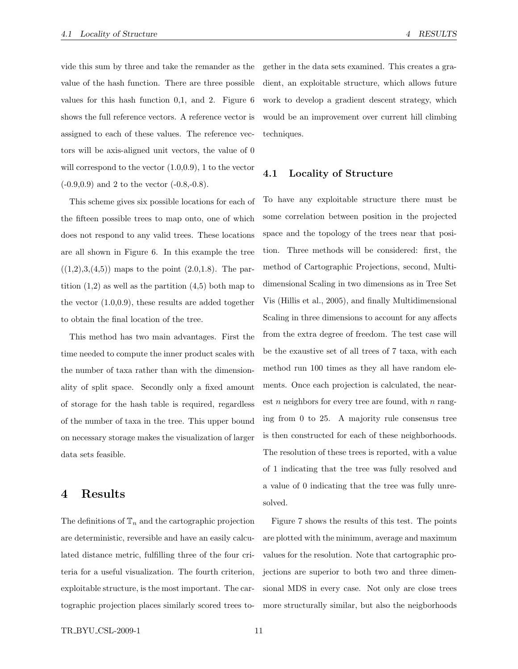vide this sum by three and take the remander as the value of the hash function. There are three possible values for this hash function 0,1, and 2. Figure 6 shows the full reference vectors. A reference vector is assigned to each of these values. The reference vectors will be axis-aligned unit vectors, the value of 0 will correspond to the vector  $(1.0,0.9)$ , 1 to the vector  $(-0.9,0.9)$  and 2 to the vector  $(-0.8,-0.8)$ .

This scheme gives six possible locations for each of the fifteen possible trees to map onto, one of which does not respond to any valid trees. These locations are all shown in Figure 6. In this example the tree  $((1,2),3,(4,5))$  maps to the point  $(2.0,1.8)$ . The partition  $(1,2)$  as well as the partition  $(4,5)$  both map to the vector (1.0,0.9), these results are added together to obtain the final location of the tree.

This method has two main advantages. First the time needed to compute the inner product scales with the number of taxa rather than with the dimensionality of split space. Secondly only a fixed amount of storage for the hash table is required, regardless of the number of taxa in the tree. This upper bound on necessary storage makes the visualization of larger data sets feasible.

### 4 Results

The definitions of  $\mathbb{T}_n$  and the cartographic projection are deterministic, reversible and have an easily calculated distance metric, fulfilling three of the four criteria for a useful visualization. The fourth criterion, exploitable structure, is the most important. The cartographic projection places similarly scored trees to-more structurally similar, but also the neigborhoods

gether in the data sets examined. This creates a gradient, an exploitable structure, which allows future work to develop a gradient descent strategy, which would be an improvement over current hill climbing techniques.

#### 4.1 Locality of Structure

To have any exploitable structure there must be some correlation between position in the projected space and the topology of the trees near that position. Three methods will be considered: first, the method of Cartographic Projections, second, Multidimensional Scaling in two dimensions as in Tree Set Vis (Hillis et al., 2005), and finally Multidimensional Scaling in three dimensions to account for any affects from the extra degree of freedom. The test case will be the exaustive set of all trees of 7 taxa, with each method run 100 times as they all have random elements. Once each projection is calculated, the nearest n neighbors for every tree are found, with n ranging from 0 to 25. A majority rule consensus tree is then constructed for each of these neighborhoods. The resolution of these trees is reported, with a value of 1 indicating that the tree was fully resolved and a value of 0 indicating that the tree was fully unresolved.

Figure 7 shows the results of this test. The points are plotted with the minimum, average and maximum values for the resolution. Note that cartographic projections are superior to both two and three dimensional MDS in every case. Not only are close trees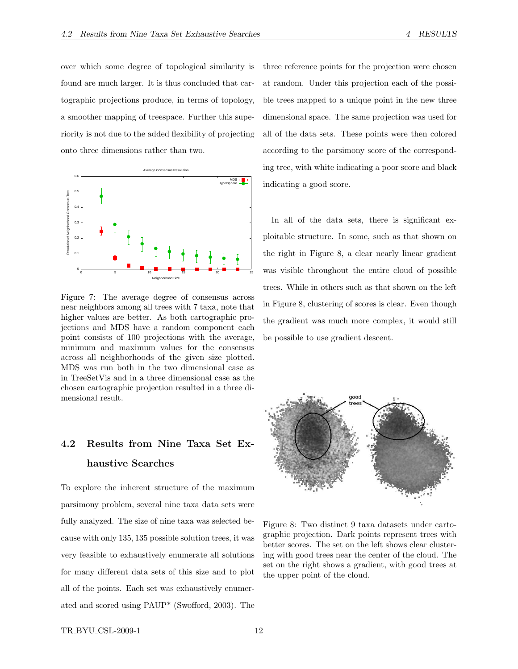over which some degree of topological similarity is found are much larger. It is thus concluded that cartographic projections produce, in terms of topology, a smoother mapping of treespace. Further this superiority is not due to the added flexibility of projecting onto three dimensions rather than two.



Figure 7: The average degree of consensus across near neighbors among all trees with 7 taxa, note that higher values are better. As both cartographic projections and MDS have a random component each point consists of 100 projections with the average, minimum and maximum values for the consensus across all neighborhoods of the given size plotted. MDS was run both in the two dimensional case as in TreeSetVis and in a three dimensional case as the chosen cartographic projection resulted in a three dimensional result.

## 4.2 Results from Nine Taxa Set Exhaustive Searches

To explore the inherent structure of the maximum parsimony problem, several nine taxa data sets were fully analyzed. The size of nine taxa was selected because with only 135, 135 possible solution trees, it was very feasible to exhaustively enumerate all solutions for many different data sets of this size and to plot all of the points. Each set was exhaustively enumerated and scored using PAUP\* (Swofford, 2003). The

 $\mathbb{H}_{\text{MPSP}}^{\text{MDS}}$   $\left| \right|$  indicating a good score. three reference points for the projection were chosen at random. Under this projection each of the possible trees mapped to a unique point in the new three dimensional space. The same projection was used for all of the data sets. These points were then colored according to the parsimony score of the corresponding tree, with white indicating a poor score and black

> In all of the data sets, there is significant exploitable structure. In some, such as that shown on the right in Figure 8, a clear nearly linear gradient was visible throughout the entire cloud of possible trees. While in others such as that shown on the left in Figure 8, clustering of scores is clear. Even though the gradient was much more complex, it would still be possible to use gradient descent.



Figure 8: Two distinct 9 taxa datasets under cartographic projection. Dark points represent trees with better scores. The set on the left shows clear clustering with good trees near the center of the cloud. The set on the right shows a gradient, with good trees at the upper point of the cloud.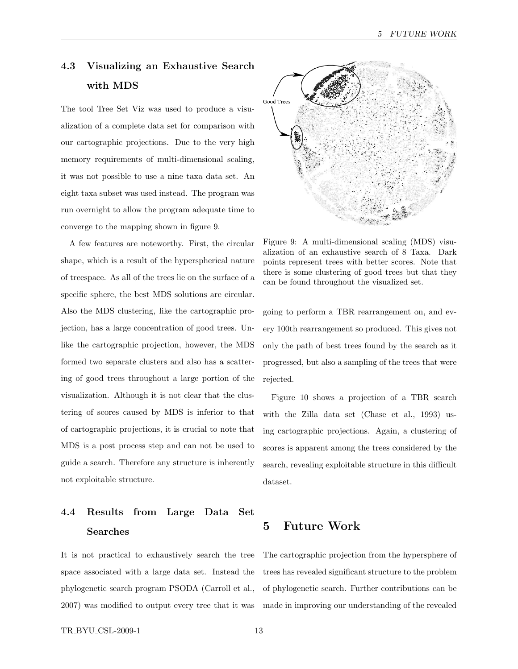## 4.3 Visualizing an Exhaustive Search with MDS

The tool Tree Set Viz was used to produce a visualization of a complete data set for comparison with our cartographic projections. Due to the very high memory requirements of multi-dimensional scaling, it was not possible to use a nine taxa data set. An eight taxa subset was used instead. The program was run overnight to allow the program adequate time to converge to the mapping shown in figure 9.

A few features are noteworthy. First, the circular shape, which is a result of the hyperspherical nature of treespace. As all of the trees lie on the surface of a specific sphere, the best MDS solutions are circular. Also the MDS clustering, like the cartographic projection, has a large concentration of good trees. Unlike the cartographic projection, however, the MDS formed two separate clusters and also has a scattering of good trees throughout a large portion of the visualization. Although it is not clear that the clustering of scores caused by MDS is inferior to that of cartographic projections, it is crucial to note that MDS is a post process step and can not be used to guide a search. Therefore any structure is inherently not exploitable structure.

## 4.4 Results from Large Data Set Searches

It is not practical to exhaustively search the tree space associated with a large data set. Instead the phylogenetic search program PSODA (Carroll et al., 2007) was modified to output every tree that it was made in improving our understanding of the revealed



Figure 9: A multi-dimensional scaling (MDS) visualization of an exhaustive search of 8 Taxa. Dark points represent trees with better scores. Note that there is some clustering of good trees but that they can be found throughout the visualized set.

going to perform a TBR rearrangement on, and every 100th rearrangement so produced. This gives not only the path of best trees found by the search as it progressed, but also a sampling of the trees that were rejected.

Figure 10 shows a projection of a TBR search with the Zilla data set (Chase et al., 1993) using cartographic projections. Again, a clustering of scores is apparent among the trees considered by the search, revealing exploitable structure in this difficult dataset.

## 5 Future Work

The cartographic projection from the hypersphere of trees has revealed significant structure to the problem of phylogenetic search. Further contributions can be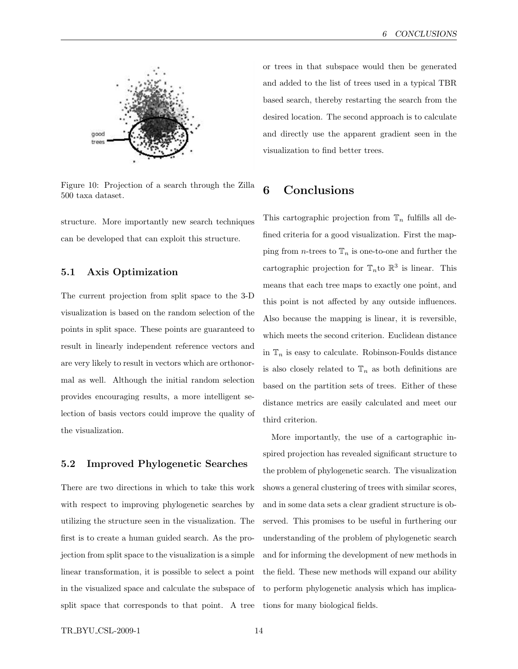

Figure 10: Projection of a search through the Zilla 500 taxa dataset.

structure. More importantly new search techniques can be developed that can exploit this structure.

#### 5.1 Axis Optimization

The current projection from split space to the 3-D visualization is based on the random selection of the points in split space. These points are guaranteed to result in linearly independent reference vectors and are very likely to result in vectors which are orthonormal as well. Although the initial random selection provides encouraging results, a more intelligent selection of basis vectors could improve the quality of the visualization.

#### 5.2 Improved Phylogenetic Searches

There are two directions in which to take this work with respect to improving phylogenetic searches by utilizing the structure seen in the visualization. The first is to create a human guided search. As the projection from split space to the visualization is a simple linear transformation, it is possible to select a point in the visualized space and calculate the subspace of split space that corresponds to that point. A tree tions for many biological fields.

or trees in that subspace would then be generated and added to the list of trees used in a typical TBR based search, thereby restarting the search from the desired location. The second approach is to calculate and directly use the apparent gradient seen in the visualization to find better trees.

### 6 Conclusions

This cartographic projection from  $\mathbb{T}_n$  fulfills all defined criteria for a good visualization. First the mapping from *n*-trees to  $\mathbb{T}_n$  is one-to-one and further the cartographic projection for  $\mathbb{T}_n$  to  $\mathbb{R}^3$  is linear. This means that each tree maps to exactly one point, and this point is not affected by any outside influences. Also because the mapping is linear, it is reversible, which meets the second criterion. Euclidean distance in  $\mathbb{T}_n$  is easy to calculate. Robinson-Foulds distance is also closely related to  $\mathbb{T}_n$  as both definitions are based on the partition sets of trees. Either of these distance metrics are easily calculated and meet our third criterion.

More importantly, the use of a cartographic inspired projection has revealed significant structure to the problem of phylogenetic search. The visualization shows a general clustering of trees with similar scores, and in some data sets a clear gradient structure is observed. This promises to be useful in furthering our understanding of the problem of phylogenetic search and for informing the development of new methods in the field. These new methods will expand our ability to perform phylogenetic analysis which has implica-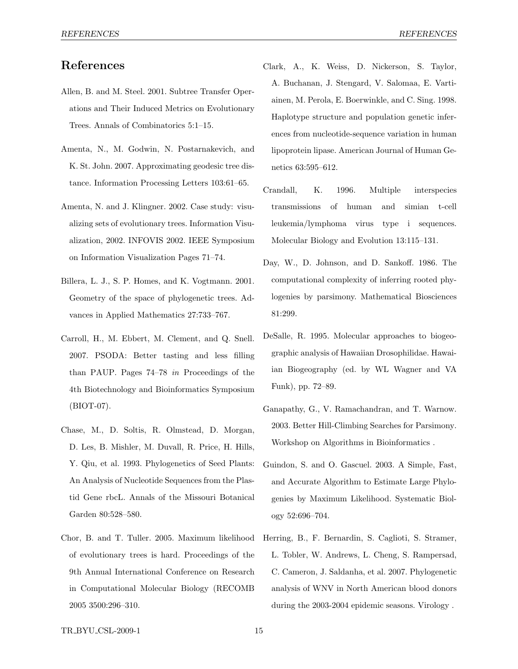### References

- Allen, B. and M. Steel. 2001. Subtree Transfer Operations and Their Induced Metrics on Evolutionary Trees. Annals of Combinatorics 5:1–15.
- Amenta, N., M. Godwin, N. Postarnakevich, and K. St. John. 2007. Approximating geodesic tree distance. Information Processing Letters 103:61–65.
- Amenta, N. and J. Klingner. 2002. Case study: visualizing sets of evolutionary trees. Information Visualization, 2002. INFOVIS 2002. IEEE Symposium on Information Visualization Pages 71–74.
- Billera, L. J., S. P. Homes, and K. Vogtmann. 2001. Geometry of the space of phylogenetic trees. Advances in Applied Mathematics 27:733–767.
- Carroll, H., M. Ebbert, M. Clement, and Q. Snell. 2007. PSODA: Better tasting and less filling than PAUP. Pages 74–78 in Proceedings of the 4th Biotechnology and Bioinformatics Symposium (BIOT-07).
- Chase, M., D. Soltis, R. Olmstead, D. Morgan, D. Les, B. Mishler, M. Duvall, R. Price, H. Hills, Y. Qiu, et al. 1993. Phylogenetics of Seed Plants: An Analysis of Nucleotide Sequences from the Plastid Gene rbcL. Annals of the Missouri Botanical Garden 80:528–580.
- Chor, B. and T. Tuller. 2005. Maximum likelihood of evolutionary trees is hard. Proceedings of the 9th Annual International Conference on Research in Computational Molecular Biology (RECOMB 2005 3500:296–310.
- Clark, A., K. Weiss, D. Nickerson, S. Taylor, A. Buchanan, J. Stengard, V. Salomaa, E. Vartiainen, M. Perola, E. Boerwinkle, and C. Sing. 1998. Haplotype structure and population genetic inferences from nucleotide-sequence variation in human lipoprotein lipase. American Journal of Human Genetics 63:595–612.
- Crandall, K. 1996. Multiple interspecies transmissions of human and simian t-cell leukemia/lymphoma virus type i sequences. Molecular Biology and Evolution 13:115–131.
- Day, W., D. Johnson, and D. Sankoff. 1986. The computational complexity of inferring rooted phylogenies by parsimony. Mathematical Biosciences 81:299.
- DeSalle, R. 1995. Molecular approaches to biogeographic analysis of Hawaiian Drosophilidae. Hawaiian Biogeography (ed. by WL Wagner and VA Funk), pp. 72–89.
- Ganapathy, G., V. Ramachandran, and T. Warnow. 2003. Better Hill-Climbing Searches for Parsimony. Workshop on Algorithms in Bioinformatics .
- Guindon, S. and O. Gascuel. 2003. A Simple, Fast, and Accurate Algorithm to Estimate Large Phylogenies by Maximum Likelihood. Systematic Biology 52:696–704.
- Herring, B., F. Bernardin, S. Caglioti, S. Stramer, L. Tobler, W. Andrews, L. Cheng, S. Rampersad, C. Cameron, J. Saldanha, et al. 2007. Phylogenetic analysis of WNV in North American blood donors during the 2003-2004 epidemic seasons. Virology .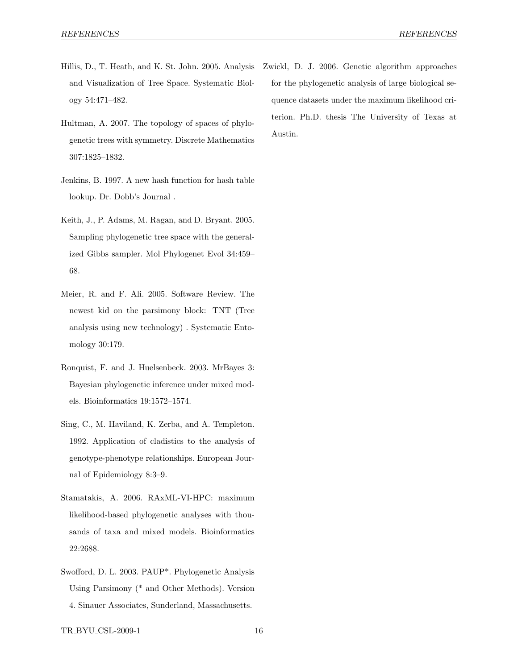- Hillis, D., T. Heath, and K. St. John. 2005. Analysis and Visualization of Tree Space. Systematic Biology 54:471–482.
- Hultman, A. 2007. The topology of spaces of phylogenetic trees with symmetry. Discrete Mathematics 307:1825–1832.
- Jenkins, B. 1997. A new hash function for hash table lookup. Dr. Dobb's Journal .
- Keith, J., P. Adams, M. Ragan, and D. Bryant. 2005. Sampling phylogenetic tree space with the generalized Gibbs sampler. Mol Phylogenet Evol 34:459– 68.
- Meier, R. and F. Ali. 2005. Software Review. The newest kid on the parsimony block: TNT (Tree analysis using new technology) . Systematic Entomology 30:179.
- Ronquist, F. and J. Huelsenbeck. 2003. MrBayes 3: Bayesian phylogenetic inference under mixed models. Bioinformatics 19:1572–1574.
- Sing, C., M. Haviland, K. Zerba, and A. Templeton. 1992. Application of cladistics to the analysis of genotype-phenotype relationships. European Journal of Epidemiology 8:3–9.
- Stamatakis, A. 2006. RAxML-VI-HPC: maximum likelihood-based phylogenetic analyses with thousands of taxa and mixed models. Bioinformatics 22:2688.
- Swofford, D. L. 2003. PAUP\*. Phylogenetic Analysis Using Parsimony (\* and Other Methods). Version 4. Sinauer Associates, Sunderland, Massachusetts.

Zwickl, D. J. 2006. Genetic algorithm approaches for the phylogenetic analysis of large biological sequence datasets under the maximum likelihood criterion. Ph.D. thesis The University of Texas at Austin.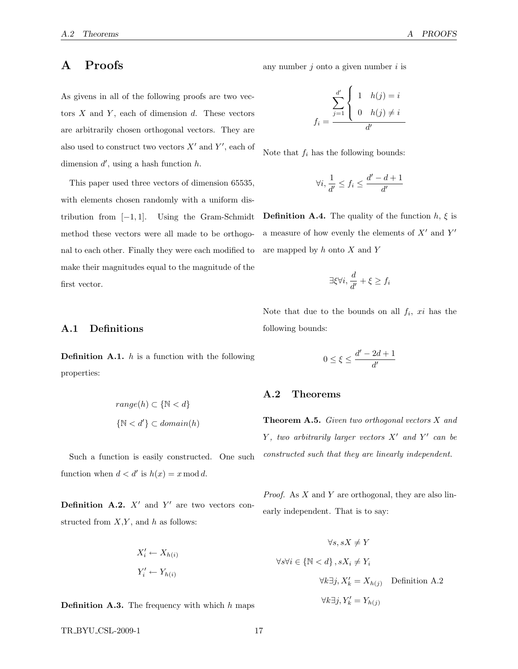### A Proofs

As givens in all of the following proofs are two vectors  $X$  and  $Y$ , each of dimension  $d$ . These vectors are arbitrarily chosen orthogonal vectors. They are also used to construct two vectors  $X'$  and  $Y'$ , each of dimension  $d'$ , using a hash function h.

This paper used three vectors of dimension 65535, with elements chosen randomly with a uniform distribution from  $[-1, 1]$ . Using the Gram-Schmidt method these vectors were all made to be orthogonal to each other. Finally they were each modified to make their magnitudes equal to the magnitude of the first vector.

#### A.1 Definitions

**Definition A.1.**  $h$  is a function with the following properties:

$$
range(h) \subset \{ \mathbb{N} < d \}
$$
\n
$$
\{ \mathbb{N} < d' \} \subset domain(h)
$$

Such a function is easily constructed. One such function when  $d < d'$  is  $h(x) = x \mod d$ .

**Definition A.2.**  $X'$  and  $Y'$  are two vectors constructed from  $X, Y$ , and h as follows:

$$
X'_i \leftarrow X_{h(i)}
$$

$$
Y'_i \leftarrow Y_{h(i)}
$$

**Definition A.3.** The frequency with which  $h$  maps

any number  $i$  onto a given number  $i$  is

$$
f_i = \frac{\sum_{j=1}^{d'} \begin{cases} 1 & h(j) = i \\ 0 & h(j) \neq i \end{cases}}{d'}
$$

Note that  $f_i$  has the following bounds:

$$
\forall i, \frac{1}{d'} \le f_i \le \frac{d'-d+1}{d'}
$$

**Definition A.4.** The quality of the function  $h, \xi$  is a measure of how evenly the elements of  $X'$  and  $Y'$ are mapped by  $h$  onto  $X$  and  $Y$ 

$$
\exists \xi \forall i, \frac{d}{d'} + \xi \ge f_i
$$

Note that due to the bounds on all  $f_i$ ,  $xi$  has the following bounds:

$$
0 \le \xi \le \frac{d'-2d+1}{d'}
$$

#### A.2 Theorems

Theorem A.5. Given two orthogonal vectors X and  $Y$ , two arbitrarily larger vectors  $X'$  and  $Y'$  can be constructed such that they are linearly independent.

Proof. As X and Y are orthogonal, they are also linearly independent. That is to say:

$$
\forall s, sX \neq Y
$$

$$
\forall s \forall i \in \{\mathbb{N} < d\}, sX_i \neq Y_i
$$

$$
\forall k \exists j, X'_k = X_{h(j)} \quad \text{Definition A.2}
$$

$$
\forall k \exists j, Y'_k = Y_{h(j)}
$$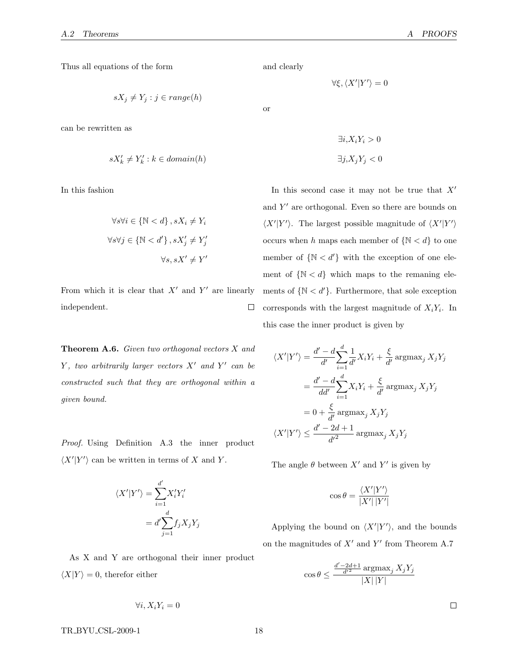Thus all equations of the form

$$
sX_j \neq Y_j : j \in range(h)
$$

can be rewritten as

$$
sX'_k \neq Y'_k : k \in domain(h)
$$

In this fashion

$$
\forall s \forall i \in \{\mathbb{N} < d\}, sX_i \neq Y_i
$$
\n
$$
\forall s \forall j \in \{\mathbb{N} < d'\}, sX'_j \neq Y'_j
$$
\n
$$
\forall s, sX' \neq Y'
$$

From which it is clear that  $X'$  and  $Y'$  are linearly independent.  $\Box$ 

**Theorem A.6.** Given two orthogonal vectors  $X$  and  $Y$ , two arbitrarily larger vectors  $X'$  and  $Y'$  can be constructed such that they are orthogonal within a given bound.

Proof. Using Definition A.3 the inner product  $\langle X'|Y'\rangle$  can be written in terms of X and Y.

$$
\langle X'|Y'\rangle = \sum_{i=1}^{d'} X_i' Y_i'
$$

$$
= d' \sum_{j=1}^{d} f_j X_j Y_j
$$

As X and Y are orthogonal their inner product  $\langle X|Y \rangle = 0$ , therefor either

$$
\forall i, X_i Y_i = 0
$$

and clearly

$$
\forall \xi, \langle X' | Y' \rangle = 0
$$

or

$$
\exists i, X_i Y_i > 0
$$

$$
\exists j, X_j Y_j < 0
$$

In this second case it may not be true that  $X'$ and  $Y'$  are orthogonal. Even so there are bounds on  $\langle X'|Y'\rangle$ . The largest possible magnitude of  $\langle X'|Y'\rangle$ occurs when h maps each member of  $\{N < d\}$  to one member of  $\{N < d'\}$  with the exception of one element of  $\{N < d\}$  which maps to the remaning elements of  $\{N < d'\}$ . Furthermore, that sole exception corresponds with the largest magnitude of  $X_iY_i$ . In this case the inner product is given by

$$
\langle X'|Y'\rangle = \frac{d'-d}{d'} \sum_{i=1}^d \frac{1}{d'} X_i Y_i + \frac{\xi}{d'} \operatorname{argmax}_j X_j Y_j
$$

$$
= \frac{d'-d}{dd'} \sum_{i=1}^d X_i Y_i + \frac{\xi}{d'} \operatorname{argmax}_j X_j Y_j
$$

$$
= 0 + \frac{\xi}{d'} \operatorname{argmax}_j X_j Y_j
$$

$$
\langle X'|Y'\rangle \le \frac{d'-2d+1}{d'^2} \operatorname{argmax}_j X_j Y_j
$$

The angle  $\theta$  between  $X'$  and  $Y'$  is given by

$$
\cos\theta=\frac{\langle X'|Y'\rangle}{|X'|\,|Y'|}
$$

Applying the bound on  $\langle X' | Y' \rangle$ , and the bounds on the magnitudes of  $X'$  and  $Y'$  from Theorem A.7

$$
\cos\theta \le \frac{\frac{d'-2d+1}{d'^2}\operatorname{argmax}_j X_jY_j}{|X|\,|Y|}
$$

TR\_BYU\_CSL-2009-1 18

 $\Box$